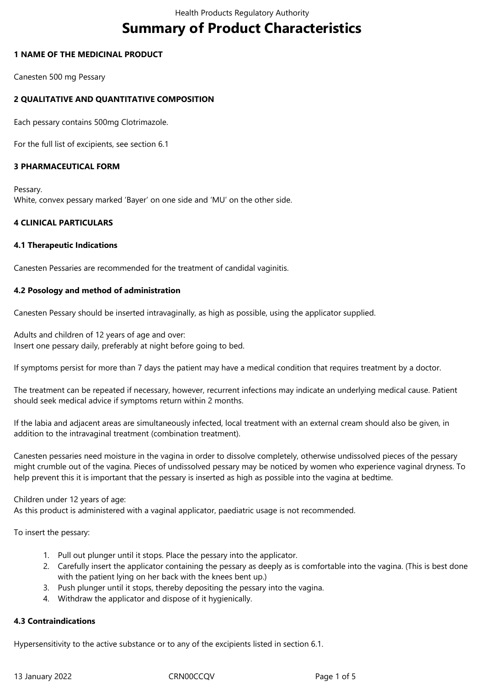# **Summary of Product Characteristics**

## **1 NAME OF THE MEDICINAL PRODUCT**

Canesten 500 mg Pessary

# **2 QUALITATIVE AND QUANTITATIVE COMPOSITION**

Each pessary contains 500mg Clotrimazole.

For the full list of excipients, see section 6.1

## **3 PHARMACEUTICAL FORM**

Pessary. White, convex pessary marked 'Bayer' on one side and 'MU' on the other side.

## **4 CLINICAL PARTICULARS**

## **4.1 Therapeutic Indications**

Canesten Pessaries are recommended for the treatment of candidal vaginitis.

## **4.2 Posology and method of administration**

Canesten Pessary should be inserted intravaginally, as high as possible, using the applicator supplied.

Adults and children of 12 years of age and over: Insert one pessary daily, preferably at night before going to bed.

If symptoms persist for more than 7 days the patient may have a medical condition that requires treatment by a doctor.

The treatment can be repeated if necessary, however, recurrent infections may indicate an underlying medical cause. Patient should seek medical advice if symptoms return within 2 months.

If the labia and adjacent areas are simultaneously infected, local treatment with an external cream should also be given, in addition to the intravaginal treatment (combination treatment).

Canesten pessaries need moisture in the vagina in order to dissolve completely, otherwise undissolved pieces of the pessary might crumble out of the vagina. Pieces of undissolved pessary may be noticed by women who experience vaginal dryness. To help prevent this it is important that the pessary is inserted as high as possible into the vagina at bedtime.

## Children under 12 years of age:

As this product is administered with a vaginal applicator, paediatric usage is not recommended.

To insert the pessary:

- 1. Pull out plunger until it stops. Place the pessary into the applicator.
- 2. Carefully insert the applicator containing the pessary as deeply as is comfortable into the vagina. (This is best done with the patient lying on her back with the knees bent up.)
- 3. Push plunger until it stops, thereby depositing the pessary into the vagina.
- 4. Withdraw the applicator and dispose of it hygienically.

## **4.3 Contraindications**

Hypersensitivity to the active substance or to any of the excipients listed in section 6.1.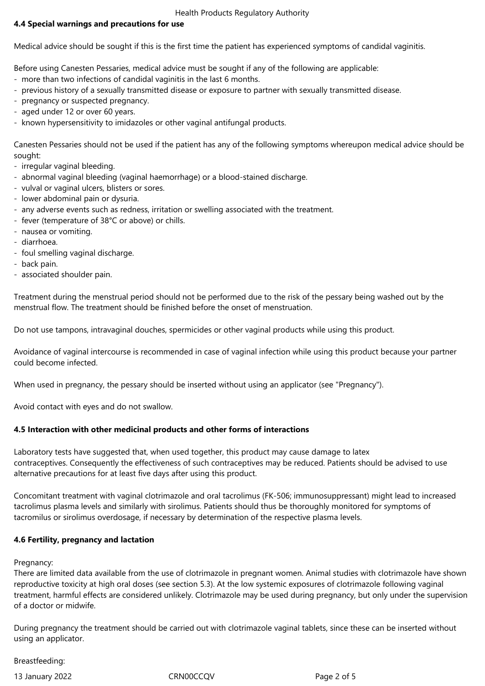Health Products Regulatory Authority

# **4.4 Special warnings and precautions for use**

Medical advice should be sought if this is the first time the patient has experienced symptoms of candidal vaginitis.

Before using Canesten Pessaries, medical advice must be sought if any of the following are applicable:

- more than two infections of candidal vaginitis in the last 6 months.
- previous history of a sexually transmitted disease or exposure to partner with sexually transmitted disease.
- pregnancy or suspected pregnancy.
- aged under 12 or over 60 years.
- known hypersensitivity to imidazoles or other vaginal antifungal products.

Canesten Pessaries should not be used if the patient has any of the following symptoms whereupon medical advice should be sought:

- irregular vaginal bleeding.

- abnormal vaginal bleeding (vaginal haemorrhage) or a blood-stained discharge.
- vulval or vaginal ulcers, blisters or sores.
- lower abdominal pain or dysuria.
- any adverse events such as redness, irritation or swelling associated with the treatment.
- fever (temperature of 38°C or above) or chills.
- nausea or vomiting.
- diarrhoea.
- foul smelling vaginal discharge.
- back pain.
- associated shoulder pain.

Treatment during the menstrual period should not be performed due to the risk of the pessary being washed out by the menstrual flow. The treatment should be finished before the onset of menstruation.

Do not use tampons, intravaginal douches, spermicides or other vaginal products while using this product.

Avoidance of vaginal intercourse is recommended in case of vaginal infection while using this product because your partner could become infected.

When used in pregnancy, the pessary should be inserted without using an applicator (see "Pregnancy").

Avoid contact with eyes and do not swallow.

# **4.5 Interaction with other medicinal products and other forms of interactions**

Laboratory tests have suggested that, when used together, this product may cause damage to latex contraceptives. Consequently the effectiveness of such contraceptives may be reduced. Patients should be advised to use alternative precautions for at least five days after using this product.

Concomitant treatment with vaginal clotrimazole and oral tacrolimus (FK-506; immunosuppressant) might lead to increased tacrolimus plasma levels and similarly with sirolimus. Patients should thus be thoroughly monitored for symptoms of tacromilus or sirolimus overdosage, if necessary by determination of the respective plasma levels.

# **4.6 Fertility, pregnancy and lactation**

## Pregnancy:

There are limited data available from the use of clotrimazole in pregnant women. Animal studies with clotrimazole have shown reproductive toxicity at high oral doses (see section 5.3). At the low systemic exposures of clotrimazole following vaginal treatment, harmful effects are considered unlikely. Clotrimazole may be used during pregnancy, but only under the supervision of a doctor or midwife.

During pregnancy the treatment should be carried out with clotrimazole vaginal tablets, since these can be inserted without using an applicator.

## Breastfeeding:

13 January 2022 CRN00CCQV Page 2 of 5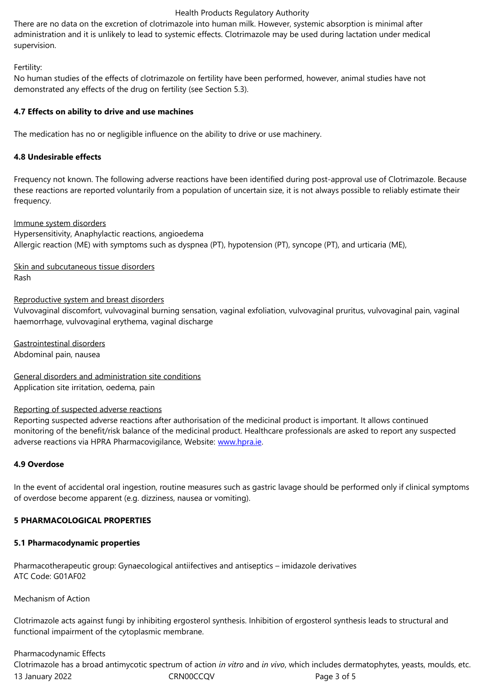supervision.

### Fertility:

No human studies of the effects of clotrimazole on fertility have been performed, however, animal studies have not demonstrated any effects of the drug on fertility (see Section 5.3).

## **4.7 Effects on ability to drive and use machines**

The medication has no or negligible influence on the ability to drive or use machinery.

## **4.8 Undesirable effects**

Frequency not known. The following adverse reactions have been identified during post-approval use of Clotrimazole. Because these reactions are reported voluntarily from a population of uncertain size, it is not always possible to reliably estimate their frequency.

## Immune system disorders

Hypersensitivity, Anaphylactic reactions, angioedema Allergic reaction (ME) with symptoms such as dyspnea (PT), hypotension (PT), syncope (PT), and urticaria (ME),

Skin and subcutaneous tissue disorders Rash

## Reproductive system and breast disorders

Vulvovaginal discomfort, vulvovaginal burning sensation, vaginal exfoliation, vulvovaginal pruritus, vulvovaginal pain, vaginal haemorrhage, vulvovaginal erythema, vaginal discharge

Gastrointestinal disorders Abdominal pain, nausea

General disorders and administration site conditions Application site irritation, oedema, pain

## Reporting of suspected adverse reactions

Reporting suspected adverse reactions after authorisation of the medicinal product is important. It allows continued monitoring of the benefit/risk balance of the medicinal product. Healthcare professionals are asked to report any suspected adverse reactions via HPRA Pharmacovigilance, Website: www.hpra.ie.

## **4.9 Overdose**

In the event of accidental oral ingestion, routine measure[s such as gas](http://www.hpra.ie/)tric lavage should be performed only if clinical symptoms of overdose become apparent (e.g. dizziness, nausea or vomiting).

## **5 PHARMACOLOGICAL PROPERTIES**

## **5.1 Pharmacodynamic properties**

Pharmacotherapeutic group: Gynaecological antiifectives and antiseptics – imidazole derivatives ATC Code: G01AF02

Mechanism of Action

Clotrimazole acts against fungi by inhibiting ergosterol synthesis. Inhibition of ergosterol synthesis leads to structural and functional impairment of the cytoplasmic membrane.

# Pharmacodynamic Effects

13 January 2022 CRN00CCQV Page 3 of 5 Clotrimazole has a broad antimycotic spectrum of action *in vitro* and *in vivo*, which includes dermatophytes, yeasts, moulds, etc.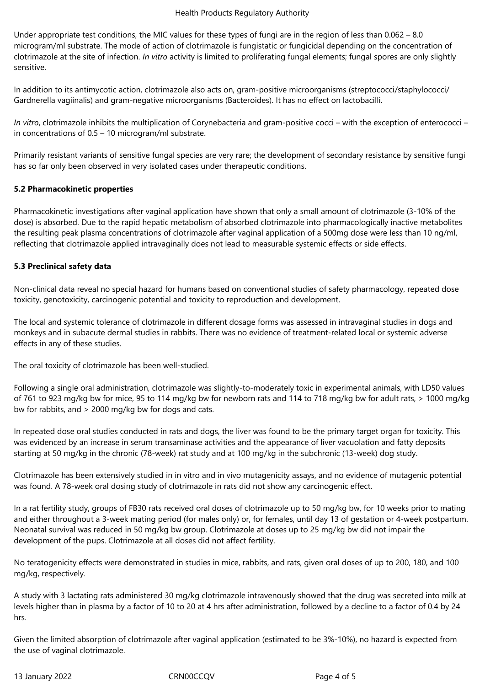Under appropriate test conditions, the MIC values for these types of fungi are in the region of less than 0.062 – 8.0 microgram/ml substrate. The mode of action of clotrimazole is fungistatic or fungicidal depending on the concentration of clotrimazole at the site of infection. *In vitro* activity is limited to proliferating fungal elements; fungal spores are only slightly sensitive.

In addition to its antimycotic action, clotrimazole also acts on, gram-positive microorganisms (streptococci/staphylococci/ Gardnerella vagiinalis) and gram-negative microorganisms (Bacteroides). It has no effect on lactobacilli.

*In vitro*, clotrimazole inhibits the multiplication of Corynebacteria and gram-positive cocci – with the exception of enterococci – in concentrations of 0.5 – 10 microgram/ml substrate.

Primarily resistant variants of sensitive fungal species are very rare; the development of secondary resistance by sensitive fungi has so far only been observed in very isolated cases under therapeutic conditions.

## **5.2 Pharmacokinetic properties**

Pharmacokinetic investigations after vaginal application have shown that only a small amount of clotrimazole (3-10% of the dose) is absorbed. Due to the rapid hepatic metabolism of absorbed clotrimazole into pharmacologically inactive metabolites the resulting peak plasma concentrations of clotrimazole after vaginal application of a 500mg dose were less than 10 ng/ml, reflecting that clotrimazole applied intravaginally does not lead to measurable systemic effects or side effects.

## **5.3 Preclinical safety data**

Non-clinical data reveal no special hazard for humans based on conventional studies of safety pharmacology, repeated dose toxicity, genotoxicity, carcinogenic potential and toxicity to reproduction and development.

The local and systemic tolerance of clotrimazole in different dosage forms was assessed in intravaginal studies in dogs and monkeys and in subacute dermal studies in rabbits. There was no evidence of treatment-related local or systemic adverse effects in any of these studies.

The oral toxicity of clotrimazole has been well-studied.

Following a single oral administration, clotrimazole was slightly-to-moderately toxic in experimental animals, with LD50 values of 761 to 923 mg/kg bw for mice, 95 to 114 mg/kg bw for newborn rats and 114 to 718 mg/kg bw for adult rats, > 1000 mg/kg bw for rabbits, and > 2000 mg/kg bw for dogs and cats.

In repeated dose oral studies conducted in rats and dogs, the liver was found to be the primary target organ for toxicity. This was evidenced by an increase in serum transaminase activities and the appearance of liver vacuolation and fatty deposits starting at 50 mg/kg in the chronic (78-week) rat study and at 100 mg/kg in the subchronic (13-week) dog study.

Clotrimazole has been extensively studied in in vitro and in vivo mutagenicity assays, and no evidence of mutagenic potential was found. A 78-week oral dosing study of clotrimazole in rats did not show any carcinogenic effect.

In a rat fertility study, groups of FB30 rats received oral doses of clotrimazole up to 50 mg/kg bw, for 10 weeks prior to mating and either throughout a 3-week mating period (for males only) or, for females, until day 13 of gestation or 4-week postpartum. Neonatal survival was reduced in 50 mg/kg bw group. Clotrimazole at doses up to 25 mg/kg bw did not impair the development of the pups. Clotrimazole at all doses did not affect fertility.

No teratogenicity effects were demonstrated in studies in mice, rabbits, and rats, given oral doses of up to 200, 180, and 100 mg/kg, respectively.

A study with 3 lactating rats administered 30 mg/kg clotrimazole intravenously showed that the drug was secreted into milk at levels higher than in plasma by a factor of 10 to 20 at 4 hrs after administration, followed by a decline to a factor of 0.4 by 24 hrs.

Given the limited absorption of clotrimazole after vaginal application (estimated to be 3%-10%), no hazard is expected from the use of vaginal clotrimazole.

13 January 2022 CRN00CCQV Page 4 of 5